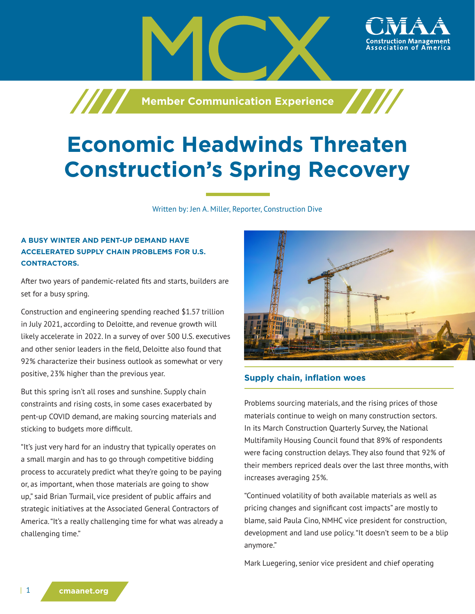**Member Communication Experience**

# **Economic Headwinds Threaten Construction's Spring Recovery**

Written by: Jen A. Miller, Reporter, Construction Dive

## **A BUSY WINTER AND PENT-UP DEMAND HAVE ACCELERATED SUPPLY CHAIN PROBLEMS FOR U.S. CONTRACTORS.**

/////

After two years of pandemic-related fits and starts, builders are set for a busy spring.

Construction and engineering spending reached \$1.57 trillion in July 2021, according to Deloitte, and revenue growth will likely accelerate in 2022. In a survey of over 500 U.S. executives and other senior leaders in the field, Deloitte also found that 92% characterize their business outlook as somewhat or very positive, 23% higher than the previous year.

But this spring isn't all roses and sunshine. Supply chain constraints and rising costs, in some cases exacerbated by pent-up COVID demand, are making sourcing materials and sticking to budgets more difficult.

"It's just very hard for an industry that typically operates on a small margin and has to go through competitive bidding process to accurately predict what they're going to be paying or, as important, when those materials are going to show up," said Brian Turmail, vice president of public affairs and strategic initiatives at the Associated General Contractors of America. "It's a really challenging time for what was already a challenging time."



# **Supply chain, inflation woes**

Problems sourcing materials, and the rising prices of those materials continue to weigh on many construction sectors. In its March Construction Quarterly Survey, the National Multifamily Housing Council found that 89% of respondents were facing construction delays. They also found that 92% of their members repriced deals over the last three months, with increases averaging 25%.

"Continued volatility of both available materials as well as pricing changes and significant cost impacts" are mostly to blame, said Paula Cino, NMHC vice president for construction, development and land use policy. "It doesn't seem to be a blip anymore."

Mark Luegering, senior vice president and chief operating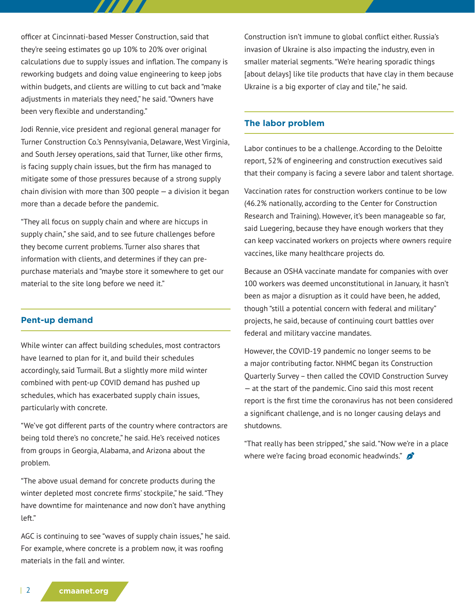officer at Cincinnati-based Messer Construction, said that they're seeing estimates go up 10% to 20% over original calculations due to supply issues and inflation. The company is reworking budgets and doing value engineering to keep jobs within budgets, and clients are willing to cut back and "make adjustments in materials they need," he said. "Owners have been very flexible and understanding."

Jodi Rennie, vice president and regional general manager for Turner Construction Co.'s Pennsylvania, Delaware, West Virginia, and South Jersey operations, said that Turner, like other firms, is facing supply chain issues, but the firm has managed to mitigate some of those pressures because of a strong supply chain division with more than  $300$  people  $-$  a division it began more than a decade before the pandemic.

"They all focus on supply chain and where are hiccups in supply chain," she said, and to see future challenges before they become current problems. Turner also shares that information with clients, and determines if they can prepurchase materials and "maybe store it somewhere to get our material to the site long before we need it."

#### **Pent-up demand**

While winter can affect building schedules, most contractors have learned to plan for it, and build their schedules accordingly, said Turmail. But a slightly more mild winter combined with pent-up COVID demand has pushed up schedules, which has exacerbated supply chain issues, particularly with concrete.

"We've got different parts of the country where contractors are being told there's no concrete," he said. He's received notices from groups in Georgia, Alabama, and Arizona about the problem.

"The above usual demand for concrete products during the winter depleted most concrete firms' stockpile," he said. "They have downtime for maintenance and now don't have anything left."

AGC is continuing to see "waves of supply chain issues," he said. For example, where concrete is a problem now, it was roofing materials in the fall and winter.

Construction isn't immune to global conflict either. Russia's invasion of Ukraine is also impacting the industry, even in smaller material segments. "We're hearing sporadic things [about delays] like tile products that have clay in them because Ukraine is a big exporter of clay and tile," he said.

### **The labor problem**

Labor continues to be a challenge. According to the Deloitte report, 52% of engineering and construction executives said that their company is facing a severe labor and talent shortage.

Vaccination rates for construction workers continue to be low (46.2% nationally, according to the Center for Construction Research and Training). However, it's been manageable so far, said Luegering, because they have enough workers that they can keep vaccinated workers on projects where owners require vaccines, like many healthcare projects do.

Because an OSHA vaccinate mandate for companies with over 100 workers was deemed unconstitutional in January, it hasn't been as major a disruption as it could have been, he added, though "still a potential concern with federal and military" projects, he said, because of continuing court battles over federal and military vaccine mandates.

However, the COVID-19 pandemic no longer seems to be a major contributing factor. NHMC began its Construction Quarterly Survey – then called the COVID Construction Survey — at the start of the pandemic. Cino said this most recent report is the first time the coronavirus has not been considered a significant challenge, and is no longer causing delays and shutdowns.

"That really has been stripped," she said. "Now we're in a place where we're facing broad economic headwinds."